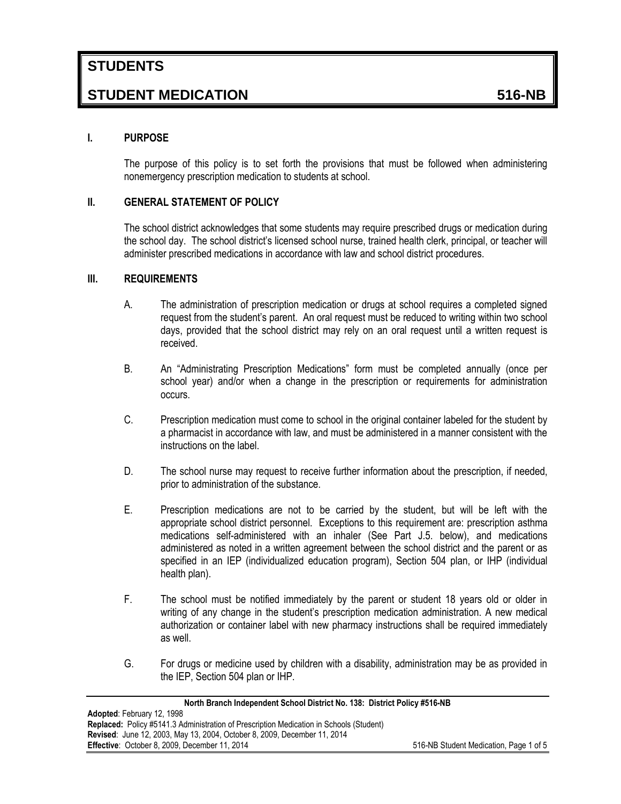# **STUDENT MEDICATION 516-NB**

### **I. PURPOSE**

The purpose of this policy is to set forth the provisions that must be followed when administering nonemergency prescription medication to students at school.

### **II. GENERAL STATEMENT OF POLICY**

The school district acknowledges that some students may require prescribed drugs or medication during the school day. The school district's licensed school nurse, trained health clerk, principal, or teacher will administer prescribed medications in accordance with law and school district procedures.

### **III. REQUIREMENTS**

- A. The administration of prescription medication or drugs at school requires a completed signed request from the student's parent. An oral request must be reduced to writing within two school days, provided that the school district may rely on an oral request until a written request is received.
- B. An "Administrating Prescription Medications" form must be completed annually (once per school year) and/or when a change in the prescription or requirements for administration occurs.
- C. Prescription medication must come to school in the original container labeled for the student by a pharmacist in accordance with law, and must be administered in a manner consistent with the instructions on the label.
- D. The school nurse may request to receive further information about the prescription, if needed, prior to administration of the substance.
- E. Prescription medications are not to be carried by the student, but will be left with the appropriate school district personnel. Exceptions to this requirement are: prescription asthma medications self-administered with an inhaler (See Part J.5. below), and medications administered as noted in a written agreement between the school district and the parent or as specified in an IEP (individualized education program), Section 504 plan, or IHP (individual health plan).
- F. The school must be notified immediately by the parent or student 18 years old or older in writing of any change in the student's prescription medication administration. A new medical authorization or container label with new pharmacy instructions shall be required immediately as well.
- G. For drugs or medicine used by children with a disability, administration may be as provided in the IEP, Section 504 plan or IHP.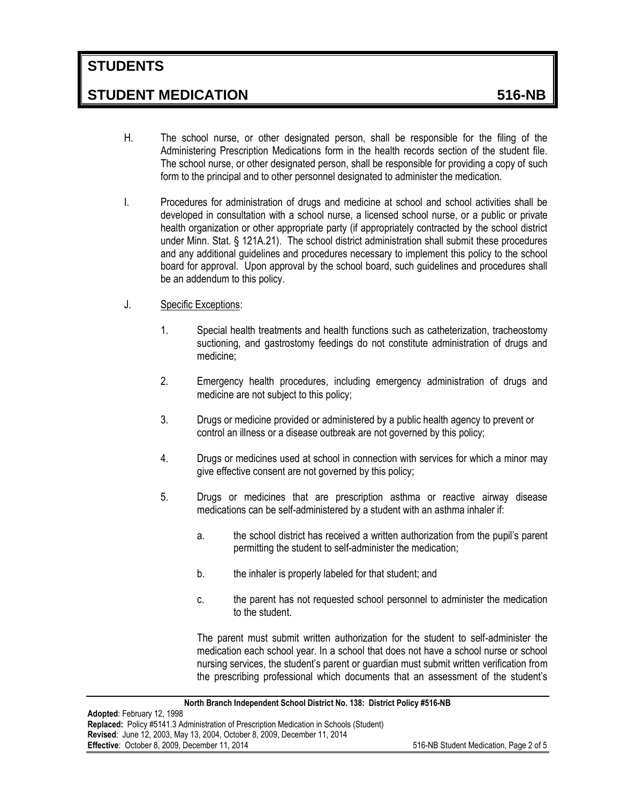# **STUDENTS**

### **STUDENT MEDICATION 516-NB**

- H. The school nurse, or other designated person, shall be responsible for the filing of the Administering Prescription Medications form in the health records section of the student file. The school nurse, or other designated person, shall be responsible for providing a copy of such form to the principal and to other personnel designated to administer the medication.
- I. Procedures for administration of drugs and medicine at school and school activities shall be developed in consultation with a school nurse, a licensed school nurse, or a public or private health organization or other appropriate party (if appropriately contracted by the school district under Minn. Stat. § 121A.21). The school district administration shall submit these procedures and any additional guidelines and procedures necessary to implement this policy to the school board for approval. Upon approval by the school board, such guidelines and procedures shall be an addendum to this policy.
- J. Specific Exceptions:
	- 1. Special health treatments and health functions such as catheterization, tracheostomy suctioning, and gastrostomy feedings do not constitute administration of drugs and medicine;
	- 2. Emergency health procedures, including emergency administration of drugs and medicine are not subject to this policy;
	- 3. Drugs or medicine provided or administered by a public health agency to prevent or control an illness or a disease outbreak are not governed by this policy;
	- 4. Drugs or medicines used at school in connection with services for which a minor may give effective consent are not governed by this policy;
	- 5. Drugs or medicines that are prescription asthma or reactive airway disease medications can be self-administered by a student with an asthma inhaler if:
		- a. the school district has received a written authorization from the pupil's parent permitting the student to self-administer the medication;
		- b. the inhaler is properly labeled for that student; and
		- c. the parent has not requested school personnel to administer the medication to the student.

The parent must submit written authorization for the student to self-administer the medication each school year. In a school that does not have a school nurse or school nursing services, the student's parent or guardian must submit written verification from the prescribing professional which documents that an assessment of the student's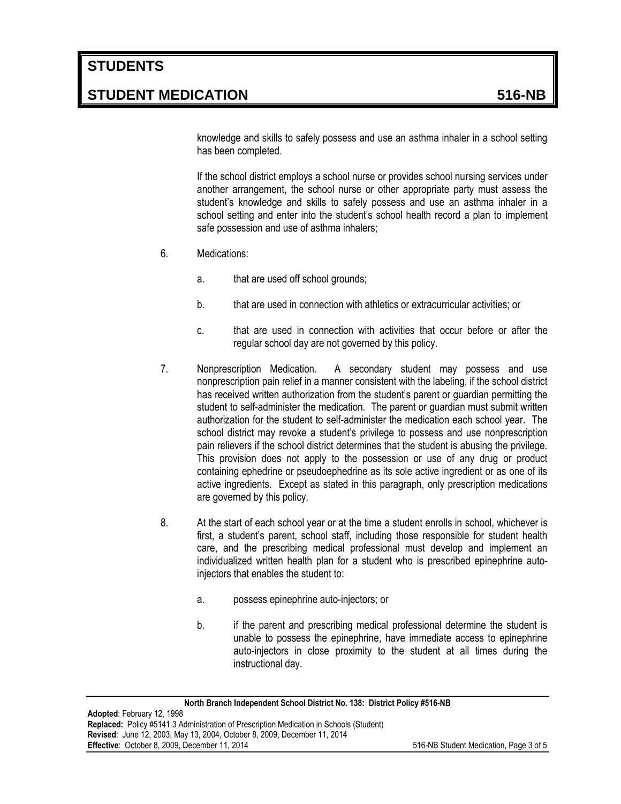knowledge and skills to safely possess and use an asthma inhaler in a school setting has been completed.

If the school district employs a school nurse or provides school nursing services under another arrangement, the school nurse or other appropriate party must assess the student's knowledge and skills to safely possess and use an asthma inhaler in a school setting and enter into the student's school health record a plan to implement safe possession and use of asthma inhalers;

- 6. Medications:
	- a. that are used off school grounds;
	- b. that are used in connection with athletics or extracurricular activities; or
	- c. that are used in connection with activities that occur before or after the regular school day are not governed by this policy.
- 7. Nonprescription Medication. A secondary student may possess and use nonprescription pain relief in a manner consistent with the labeling, if the school district has received written authorization from the student's parent or guardian permitting the student to self-administer the medication. The parent or guardian must submit written authorization for the student to self-administer the medication each school year. The school district may revoke a student's privilege to possess and use nonprescription pain relievers if the school district determines that the student is abusing the privilege. This provision does not apply to the possession or use of any drug or product containing ephedrine or pseudoephedrine as its sole active ingredient or as one of its active ingredients. Except as stated in this paragraph, only prescription medications are governed by this policy.
- 8. At the start of each school year or at the time a student enrolls in school, whichever is first, a student's parent, school staff, including those responsible for student health care, and the prescribing medical professional must develop and implement an individualized written health plan for a student who is prescribed epinephrine autoinjectors that enables the student to:
	- a. possess epinephrine auto-injectors; or
	- b. if the parent and prescribing medical professional determine the student is unable to possess the epinephrine, have immediate access to epinephrine auto-injectors in close proximity to the student at all times during the instructional day.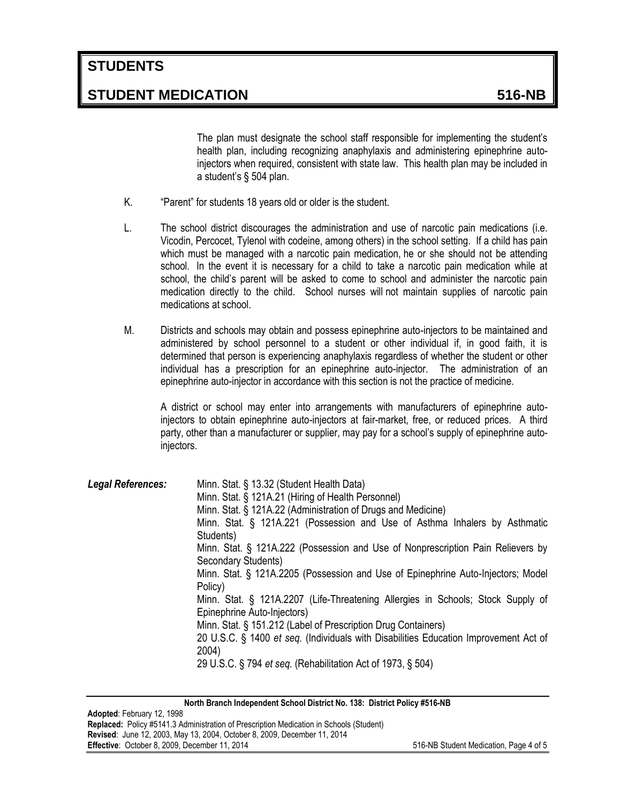## **STUDENTS**

### **STUDENT MEDICATION 516-NB**

The plan must designate the school staff responsible for implementing the student's health plan, including recognizing anaphylaxis and administering epinephrine autoinjectors when required, consistent with state law. This health plan may be included in a student's § 504 plan.

- K. "Parent" for students 18 years old or older is the student.
- L. The school district discourages the administration and use of narcotic pain medications (i.e. Vicodin, Percocet, Tylenol with codeine, among others) in the school setting. If a child has pain which must be managed with a narcotic pain medication, he or she should not be attending school. In the event it is necessary for a child to take a narcotic pain medication while at school, the child's parent will be asked to come to school and administer the narcotic pain medication directly to the child. School nurses will not maintain supplies of narcotic pain medications at school.
- M. Districts and schools may obtain and possess epinephrine auto-injectors to be maintained and administered by school personnel to a student or other individual if, in good faith, it is determined that person is experiencing anaphylaxis regardless of whether the student or other individual has a prescription for an epinephrine auto-injector. The administration of an epinephrine auto-injector in accordance with this section is not the practice of medicine.

A district or school may enter into arrangements with manufacturers of epinephrine autoinjectors to obtain epinephrine auto-injectors at fair-market, free, or reduced prices. A third party, other than a manufacturer or supplier, may pay for a school's supply of epinephrine autoinjectors.

| <b>Legal References:</b> | Minn. Stat. § 13.32 (Student Health Data)<br>Minn. Stat. § 121A.21 (Hiring of Health Personnel)<br>Minn. Stat. § 121A.22 (Administration of Drugs and Medicine) |
|--------------------------|-----------------------------------------------------------------------------------------------------------------------------------------------------------------|
|                          | Minn. Stat. § 121A.221 (Possession and Use of Asthma Inhalers by Asthmatic<br>Students)                                                                         |
|                          | Minn. Stat. § 121A.222 (Possession and Use of Nonprescription Pain Relievers by                                                                                 |
|                          | Secondary Students)<br>Minn. Stat. § 121A.2205 (Possession and Use of Epinephrine Auto-Injectors; Model                                                         |
|                          | Policy)                                                                                                                                                         |
|                          | Minn. Stat. § 121A.2207 (Life-Threatening Allergies in Schools; Stock Supply of                                                                                 |
|                          | Epinephrine Auto-Injectors)<br>Minn. Stat. § 151.212 (Label of Prescription Drug Containers)                                                                    |
|                          | 20 U.S.C. § 1400 et seq. (Individuals with Disabilities Education Improvement Act of                                                                            |
|                          | 2004)<br>29 U.S.C. § 794 et seq. (Rehabilitation Act of 1973, § 504)                                                                                            |